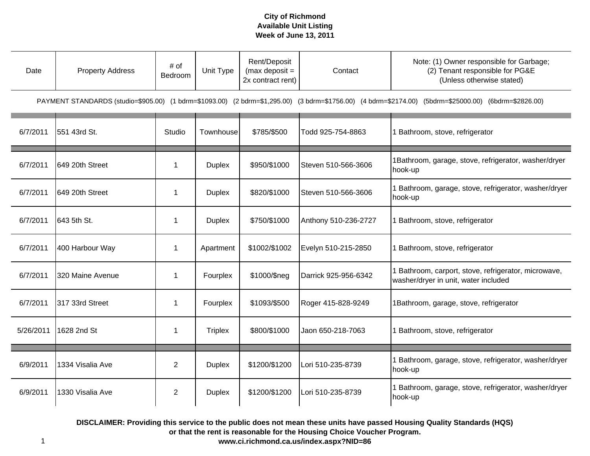| Date      | <b>Property Address</b> | # of<br>Bedroom | Unit Type      | Rent/Deposit<br>(max deposit $=$<br>2x contract rent) | Contact              | Note: (1) Owner responsible for Garbage;<br>(2) Tenant responsible for PG&E<br>(Unless otherwise stated)                                              |
|-----------|-------------------------|-----------------|----------------|-------------------------------------------------------|----------------------|-------------------------------------------------------------------------------------------------------------------------------------------------------|
|           |                         |                 |                |                                                       |                      | PAYMENT STANDARDS (studio=\$905.00) (1 bdrm=\$1093.00) (2 bdrm=\$1,295.00) (3 bdrm=\$1756.00) (4 bdrm=\$2174.00) (5bdrm=\$25000.00) (6bdrm=\$2826.00) |
| 6/7/2011  | 551 43rd St.            | Studio          | Townhouse      | \$785/\$500                                           | Todd 925-754-8863    | 1 Bathroom, stove, refrigerator                                                                                                                       |
| 6/7/2011  | 649 20th Street         | $\mathbf{1}$    | <b>Duplex</b>  | \$950/\$1000                                          | Steven 510-566-3606  | 1Bathroom, garage, stove, refrigerator, washer/dryer<br>hook-up                                                                                       |
| 6/7/2011  | 649 20th Street         | $\mathbf{1}$    | <b>Duplex</b>  | \$820/\$1000                                          | Steven 510-566-3606  | I Bathroom, garage, stove, refrigerator, washer/dryer<br>hook-up                                                                                      |
| 6/7/2011  | 643 5th St.             | $\mathbf{1}$    | <b>Duplex</b>  | \$750/\$1000                                          | Anthony 510-236-2727 | 1 Bathroom, stove, refrigerator                                                                                                                       |
| 6/7/2011  | 400 Harbour Way         | $\mathbf{1}$    | Apartment      | \$1002/\$1002                                         | Evelyn 510-215-2850  | 1 Bathroom, stove, refrigerator                                                                                                                       |
| 6/7/2011  | 320 Maine Avenue        | $\mathbf{1}$    | Fourplex       | \$1000/\$neg                                          | Darrick 925-956-6342 | 1 Bathroom, carport, stove, refrigerator, microwave,<br>washer/dryer in unit, water included                                                          |
| 6/7/2011  | 317 33rd Street         | $\mathbf{1}$    | Fourplex       | \$1093/\$500                                          | Roger 415-828-9249   | 1Bathroom, garage, stove, refrigerator                                                                                                                |
| 5/26/2011 | 1628 2nd St             | 1               | <b>Triplex</b> | \$800/\$1000                                          | Jaon 650-218-7063    | 1 Bathroom, stove, refrigerator                                                                                                                       |
| 6/9/2011  | 1334 Visalia Ave        | $\overline{2}$  | <b>Duplex</b>  | \$1200/\$1200                                         | Lori 510-235-8739    | 1 Bathroom, garage, stove, refrigerator, washer/dryer<br>hook-up                                                                                      |
| 6/9/2011  | 1330 Visalia Ave        | $\overline{2}$  | <b>Duplex</b>  | \$1200/\$1200                                         | Lori 510-235-8739    | Bathroom, garage, stove, refrigerator, washer/dryer<br>hook-up                                                                                        |

**DISCLAIMER: Providing this service to the public does not mean these units have passed Housing Quality Standards (HQS) or that the rent is reasonable for the Housing Choice Voucher Program.**

**www.ci.richmond.ca.us/index.aspx?NID=86**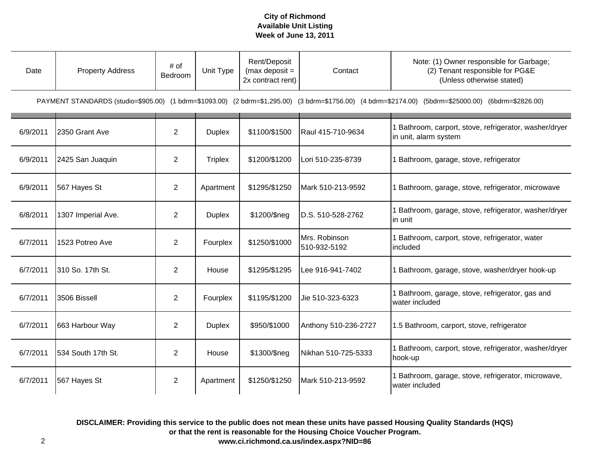| Date     | <b>Property Address</b> | # of<br>Bedroom | Unit Type      | Rent/Deposit<br>(max deposit $=$<br>2x contract rent) | Contact                       | Note: (1) Owner responsible for Garbage;<br>(2) Tenant responsible for PG&E<br>(Unless otherwise stated)                                              |
|----------|-------------------------|-----------------|----------------|-------------------------------------------------------|-------------------------------|-------------------------------------------------------------------------------------------------------------------------------------------------------|
|          |                         |                 |                |                                                       |                               | PAYMENT STANDARDS (studio=\$905.00) (1 bdrm=\$1093.00) (2 bdrm=\$1,295.00) (3 bdrm=\$1756.00) (4 bdrm=\$2174.00) (5bdrm=\$25000.00) (6bdrm=\$2826.00) |
| 6/9/2011 | 2350 Grant Ave          | $\overline{2}$  | <b>Duplex</b>  | \$1100/\$1500                                         | Raul 415-710-9634             | 1 Bathroom, carport, stove, refrigerator, washer/dryer<br>in unit, alarm system                                                                       |
| 6/9/2011 | 2425 San Juaquin        | $\overline{2}$  | <b>Triplex</b> | \$1200/\$1200                                         | Lori 510-235-8739             | 1 Bathroom, garage, stove, refrigerator                                                                                                               |
| 6/9/2011 | 567 Hayes St            | $\overline{2}$  | Apartment      | \$1295/\$1250                                         | Mark 510-213-9592             | 1 Bathroom, garage, stove, refrigerator, microwave                                                                                                    |
| 6/8/2011 | 1307 Imperial Ave.      | $\overline{2}$  | <b>Duplex</b>  | \$1200/\$neg                                          | D.S. 510-528-2762             | 1 Bathroom, garage, stove, refrigerator, washer/dryer<br>in unit                                                                                      |
| 6/7/2011 | 1523 Potreo Ave         | $\overline{2}$  | Fourplex       | \$1250/\$1000                                         | Mrs. Robinson<br>510-932-5192 | 1 Bathroom, carport, stove, refrigerator, water<br>included                                                                                           |
| 6/7/2011 | 310 So. 17th St.        | $\overline{2}$  | House          | \$1295/\$1295                                         | Lee 916-941-7402              | 1 Bathroom, garage, stove, washer/dryer hook-up                                                                                                       |
| 6/7/2011 | 3506 Bissell            | $\overline{2}$  | Fourplex       | \$1195/\$1200                                         | Jie 510-323-6323              | 1 Bathroom, garage, stove, refrigerator, gas and<br>water included                                                                                    |
| 6/7/2011 | 663 Harbour Way         | $\overline{2}$  | <b>Duplex</b>  | \$950/\$1000                                          | Anthony 510-236-2727          | 1.5 Bathroom, carport, stove, refrigerator                                                                                                            |
| 6/7/2011 | 534 South 17th St.      | $\overline{2}$  | House          | \$1300/\$neg                                          | Nikhan 510-725-5333           | 1 Bathroom, carport, stove, refrigerator, washer/dryer<br>hook-up                                                                                     |
| 6/7/2011 | 567 Hayes St            | $\overline{2}$  | Apartment      | \$1250/\$1250                                         | Mark 510-213-9592             | 1 Bathroom, garage, stove, refrigerator, microwave,<br>water included                                                                                 |

**DISCLAIMER: Providing this service to the public does not mean these units have passed Housing Quality Standards (HQS) or that the rent is reasonable for the Housing Choice Voucher Program.**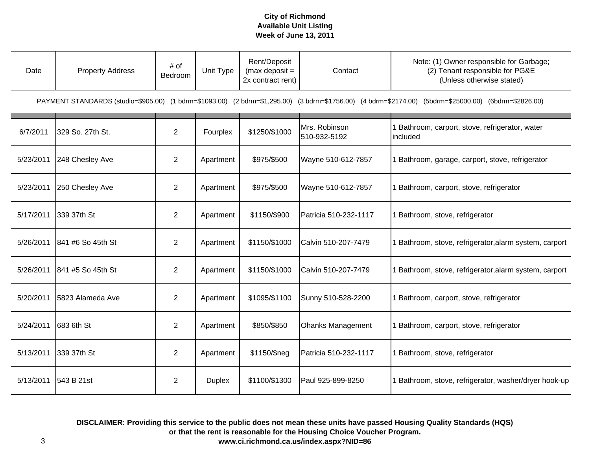| Date      | <b>Property Address</b> | # of<br>Bedroom | Unit Type     | Rent/Deposit<br>(max deposit $=$<br>2x contract rent) | Contact                       | Note: (1) Owner responsible for Garbage;<br>(2) Tenant responsible for PG&E<br>(Unless otherwise stated)                                              |
|-----------|-------------------------|-----------------|---------------|-------------------------------------------------------|-------------------------------|-------------------------------------------------------------------------------------------------------------------------------------------------------|
|           |                         |                 |               |                                                       |                               | PAYMENT STANDARDS (studio=\$905.00) (1 bdrm=\$1093.00) (2 bdrm=\$1,295.00) (3 bdrm=\$1756.00) (4 bdrm=\$2174.00) (5bdrm=\$25000.00) (6bdrm=\$2826.00) |
| 6/7/2011  | 329 So. 27th St.        | $\overline{2}$  | Fourplex      | \$1250/\$1000                                         | Mrs. Robinson<br>510-932-5192 | Bathroom, carport, stove, refrigerator, water<br>included                                                                                             |
| 5/23/2011 | 248 Chesley Ave         | $\overline{2}$  | Apartment     | \$975/\$500                                           | Wayne 510-612-7857            | Bathroom, garage, carport, stove, refrigerator                                                                                                        |
| 5/23/2011 | 250 Chesley Ave         | $\overline{2}$  | Apartment     | \$975/\$500                                           | Wayne 510-612-7857            | Bathroom, carport, stove, refrigerator                                                                                                                |
| 5/17/2011 | 339 37th St             | $\overline{2}$  | Apartment     | \$1150/\$900                                          | Patricia 510-232-1117         | Bathroom, stove, refrigerator                                                                                                                         |
| 5/26/2011 | 841 #6 So 45th St       | $\overline{2}$  | Apartment     | \$1150/\$1000                                         | Calvin 510-207-7479           | Bathroom, stove, refrigerator, alarm system, carport                                                                                                  |
| 5/26/2011 | 841 #5 So 45th St       | $\overline{2}$  | Apartment     | \$1150/\$1000                                         | Calvin 510-207-7479           | Bathroom, stove, refrigerator, alarm system, carport                                                                                                  |
| 5/20/2011 | 5823 Alameda Ave        | $\overline{2}$  | Apartment     | \$1095/\$1100                                         | Sunny 510-528-2200            | Bathroom, carport, stove, refrigerator                                                                                                                |
| 5/24/2011 | 683 6th St              | $\overline{2}$  | Apartment     | \$850/\$850                                           | <b>Ohanks Management</b>      | Bathroom, carport, stove, refrigerator                                                                                                                |
| 5/13/2011 | 339 37th St             | $\overline{2}$  | Apartment     | \$1150/\$neg                                          | Patricia 510-232-1117         | Bathroom, stove, refrigerator                                                                                                                         |
| 5/13/2011 | 543 B 21st              | $\overline{2}$  | <b>Duplex</b> | \$1100/\$1300                                         | Paul 925-899-8250             | Bathroom, stove, refrigerator, washer/dryer hook-up                                                                                                   |

**DISCLAIMER: Providing this service to the public does not mean these units have passed Housing Quality Standards (HQS) or that the rent is reasonable for the Housing Choice Voucher Program. www.ci.richmond.ca.us/index.aspx?NID=86**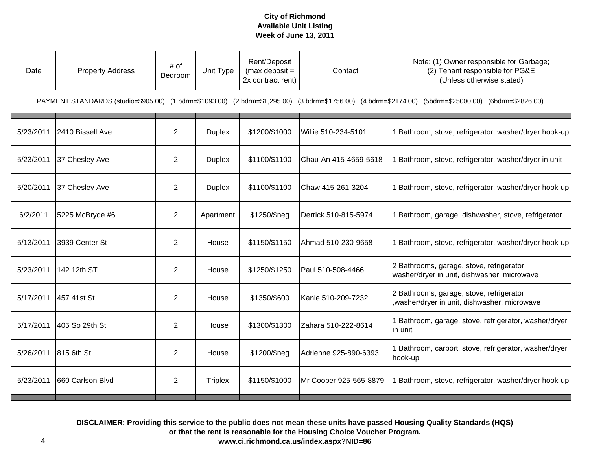| Date      | <b>Property Address</b> | # of<br>Bedroom | Unit Type      | Rent/Deposit<br>(max deposit $=$<br>2x contract rent) | Contact                | Note: (1) Owner responsible for Garbage;<br>(2) Tenant responsible for PG&E<br>(Unless otherwise stated)                                              |
|-----------|-------------------------|-----------------|----------------|-------------------------------------------------------|------------------------|-------------------------------------------------------------------------------------------------------------------------------------------------------|
|           |                         |                 |                |                                                       |                        | PAYMENT STANDARDS (studio=\$905.00) (1 bdrm=\$1093.00) (2 bdrm=\$1,295.00) (3 bdrm=\$1756.00) (4 bdrm=\$2174.00) (5bdrm=\$25000.00) (6bdrm=\$2826.00) |
| 5/23/2011 | 2410 Bissell Ave        | $\overline{2}$  | <b>Duplex</b>  | \$1200/\$1000                                         | Willie 510-234-5101    | 1 Bathroom, stove, refrigerator, washer/dryer hook-up                                                                                                 |
| 5/23/2011 | 37 Chesley Ave          | $\overline{2}$  | <b>Duplex</b>  | \$1100/\$1100                                         | Chau-An 415-4659-5618  | 1 Bathroom, stove, refrigerator, washer/dryer in unit                                                                                                 |
| 5/20/2011 | 37 Chesley Ave          | $\overline{2}$  | <b>Duplex</b>  | \$1100/\$1100                                         | Chaw 415-261-3204      | 1 Bathroom, stove, refrigerator, washer/dryer hook-up                                                                                                 |
| 6/2/2011  | 5225 McBryde #6         | $\overline{2}$  | Apartment      | \$1250/\$neg                                          | Derrick 510-815-5974   | 1 Bathroom, garage, dishwasher, stove, refrigerator                                                                                                   |
| 5/13/2011 | 3939 Center St          | $\overline{2}$  | House          | \$1150/\$1150                                         | Ahmad 510-230-9658     | 1 Bathroom, stove, refrigerator, washer/dryer hook-up                                                                                                 |
| 5/23/2011 | 142 12th ST             | $\overline{2}$  | House          | \$1250/\$1250                                         | Paul 510-508-4466      | 2 Bathrooms, garage, stove, refrigerator,<br>washer/dryer in unit, dishwasher, microwave                                                              |
| 5/17/2011 | 457 41st St             | $\overline{2}$  | House          | \$1350/\$600                                          | Kanie 510-209-7232     | 2 Bathrooms, garage, stove, refrigerator<br>washer/dryer in unit, dishwasher, microwave                                                               |
| 5/17/2011 | 405 So 29th St          | $\overline{2}$  | House          | \$1300/\$1300                                         | Zahara 510-222-8614    | 1 Bathroom, garage, stove, refrigerator, washer/dryer<br>in unit                                                                                      |
| 5/26/2011 | 815 6th St              | $\overline{2}$  | House          | \$1200/\$neg                                          | Adrienne 925-890-6393  | 1 Bathroom, carport, stove, refrigerator, washer/dryer<br>hook-up                                                                                     |
| 5/23/2011 | 660 Carlson Blvd        | $\overline{2}$  | <b>Triplex</b> | \$1150/\$1000                                         | Mr Cooper 925-565-8879 | Bathroom, stove, refrigerator, washer/dryer hook-up                                                                                                   |

**DISCLAIMER: Providing this service to the public does not mean these units have passed Housing Quality Standards (HQS) or that the rent is reasonable for the Housing Choice Voucher Program.**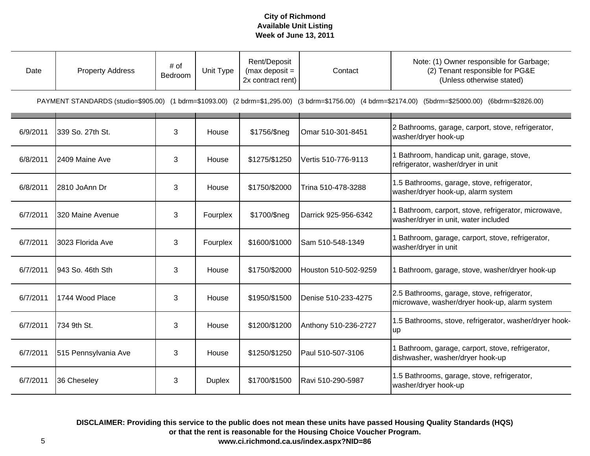| Date                                                                                                                                                  | <b>Property Address</b> | # of<br>Bedroom | Unit Type     | Rent/Deposit<br>(max deposit $=$<br>2x contract rent) | Contact              | Note: (1) Owner responsible for Garbage;<br>(2) Tenant responsible for PG&E<br>(Unless otherwise stated) |  |
|-------------------------------------------------------------------------------------------------------------------------------------------------------|-------------------------|-----------------|---------------|-------------------------------------------------------|----------------------|----------------------------------------------------------------------------------------------------------|--|
| PAYMENT STANDARDS (studio=\$905.00) (1 bdrm=\$1093.00) (2 bdrm=\$1,295.00) (3 bdrm=\$1756.00) (4 bdrm=\$2174.00) (5bdrm=\$25000.00) (6bdrm=\$2826.00) |                         |                 |               |                                                       |                      |                                                                                                          |  |
| 6/9/2011                                                                                                                                              | 339 So. 27th St.        | 3               | House         | \$1756/\$neg                                          | Omar 510-301-8451    | 2 Bathrooms, garage, carport, stove, refrigerator,<br>washer/dryer hook-up                               |  |
| 6/8/2011                                                                                                                                              | 2409 Maine Ave          | 3               | House         | \$1275/\$1250                                         | Vertis 510-776-9113  | 1 Bathroom, handicap unit, garage, stove,<br>refrigerator, washer/dryer in unit                          |  |
| 6/8/2011                                                                                                                                              | 2810 JoAnn Dr           | 3               | House         | \$1750/\$2000                                         | Trina 510-478-3288   | 1.5 Bathrooms, garage, stove, refrigerator,<br>washer/dryer hook-up, alarm system                        |  |
| 6/7/2011                                                                                                                                              | 320 Maine Avenue        | 3               | Fourplex      | \$1700/\$neg                                          | Darrick 925-956-6342 | 1 Bathroom, carport, stove, refrigerator, microwave,<br>washer/dryer in unit, water included             |  |
| 6/7/2011                                                                                                                                              | 3023 Florida Ave        | 3               | Fourplex      | \$1600/\$1000                                         | Sam 510-548-1349     | 1 Bathroom, garage, carport, stove, refrigerator,<br>washer/dryer in unit                                |  |
| 6/7/2011                                                                                                                                              | 943 So. 46th Sth        | 3               | House         | \$1750/\$2000                                         | Houston 510-502-9259 | 1 Bathroom, garage, stove, washer/dryer hook-up                                                          |  |
| 6/7/2011                                                                                                                                              | 1744 Wood Place         | 3               | House         | \$1950/\$1500                                         | Denise 510-233-4275  | 2.5 Bathrooms, garage, stove, refrigerator,<br>microwave, washer/dryer hook-up, alarm system             |  |
| 6/7/2011                                                                                                                                              | 734 9th St.             | 3               | House         | \$1200/\$1200                                         | Anthony 510-236-2727 | 1.5 Bathrooms, stove, refrigerator, washer/dryer hook-<br>up                                             |  |
| 6/7/2011                                                                                                                                              | 515 Pennsylvania Ave    | 3               | House         | \$1250/\$1250                                         | Paul 510-507-3106    | 1 Bathroom, garage, carport, stove, refrigerator,<br>dishwasher, washer/dryer hook-up                    |  |
| 6/7/2011                                                                                                                                              | 36 Cheseley             | 3               | <b>Duplex</b> | \$1700/\$1500                                         | Ravi 510-290-5987    | 1.5 Bathrooms, garage, stove, refrigerator,<br>washer/dryer hook-up                                      |  |

**DISCLAIMER: Providing this service to the public does not mean these units have passed Housing Quality Standards (HQS) or that the rent is reasonable for the Housing Choice Voucher Program. www.ci.richmond.ca.us/index.aspx?NID=86**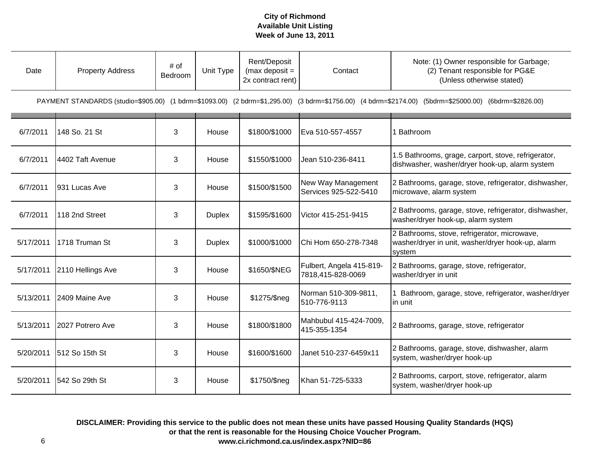| Date      | <b>Property Address</b> | # of<br>Bedroom | Unit Type     | Rent/Deposit<br>(max deposit $=$<br>2x contract rent) | Contact                                       | Note: (1) Owner responsible for Garbage;<br>(2) Tenant responsible for PG&E<br>(Unless otherwise stated)                                              |
|-----------|-------------------------|-----------------|---------------|-------------------------------------------------------|-----------------------------------------------|-------------------------------------------------------------------------------------------------------------------------------------------------------|
|           |                         |                 |               |                                                       |                                               | PAYMENT STANDARDS (studio=\$905.00) (1 bdrm=\$1093.00) (2 bdrm=\$1,295.00) (3 bdrm=\$1756.00) (4 bdrm=\$2174.00) (5bdrm=\$25000.00) (6bdrm=\$2826.00) |
| 6/7/2011  | 148 So. 21 St           | 3               | House         | \$1800/\$1000                                         | Eva 510-557-4557                              | 1 Bathroom                                                                                                                                            |
| 6/7/2011  | 4402 Taft Avenue        | 3               | House         | \$1550/\$1000                                         | Jean 510-236-8411                             | 1.5 Bathrooms, grage, carport, stove, refrigerator,<br>dishwasher, washer/dryer hook-up, alarm system                                                 |
| 6/7/2011  | 931 Lucas Ave           | 3               | House         | \$1500/\$1500                                         | New Way Management<br>Services 925-522-5410   | 2 Bathrooms, garage, stove, refrigerator, dishwasher,<br>microwave, alarm system                                                                      |
| 6/7/2011  | 118 2nd Street          | 3               | <b>Duplex</b> | \$1595/\$1600                                         | Victor 415-251-9415                           | 2 Bathrooms, garage, stove, refrigerator, dishwasher,<br>washer/dryer hook-up, alarm system                                                           |
| 5/17/2011 | 1718 Truman St          | 3               | <b>Duplex</b> | \$1000/\$1000                                         | Chi Hom 650-278-7348                          | 2 Bathrooms, stove, refrigerator, microwave,<br>washer/dryer in unit, washer/dryer hook-up, alarm<br>system                                           |
| 5/17/2011 | 2110 Hellings Ave       | 3               | House         | \$1650/\$NEG                                          | Fulbert, Angela 415-819-<br>7818,415-828-0069 | 2 Bathrooms, garage, stove, refrigerator,<br>washer/dryer in unit                                                                                     |
| 5/13/2011 | 2409 Maine Ave          | 3               | House         | \$1275/\$neg                                          | Norman 510-309-9811,<br>510-776-9113          | 1 Bathroom, garage, stove, refrigerator, washer/dryer<br>in unit                                                                                      |
| 5/13/2011 | 2027 Potrero Ave        | 3               | House         | \$1800/\$1800                                         | Mahbubul 415-424-7009,<br>415-355-1354        | 2 Bathrooms, garage, stove, refrigerator                                                                                                              |
| 5/20/2011 | 512 So 15th St          | 3               | House         | \$1600/\$1600                                         | Janet 510-237-6459x11                         | 2 Bathrooms, garage, stove, dishwasher, alarm<br>system, washer/dryer hook-up                                                                         |
| 5/20/2011 | 542 So 29th St          | 3               | House         | \$1750/\$neg                                          | Khan 51-725-5333                              | 2 Bathrooms, carport, stove, refrigerator, alarm<br>system, washer/dryer hook-up                                                                      |

**DISCLAIMER: Providing this service to the public does not mean these units have passed Housing Quality Standards (HQS) or that the rent is reasonable for the Housing Choice Voucher Program. www.ci.richmond.ca.us/index.aspx?NID=86**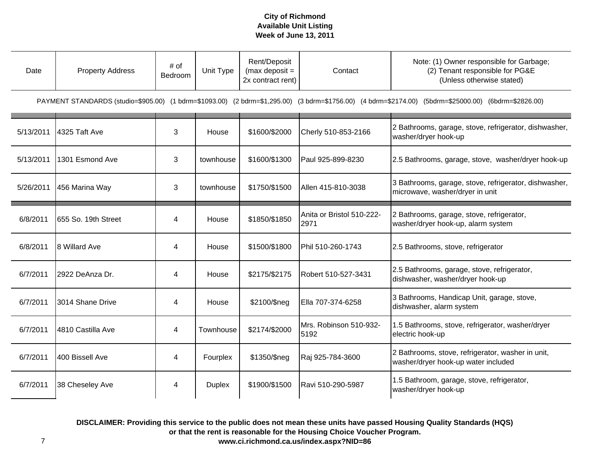| Date      | <b>Property Address</b> | # of<br>Bedroom | Unit Type     | Rent/Deposit<br>(max deposit $=$<br>2x contract rent) | Contact                           | Note: (1) Owner responsible for Garbage;<br>(2) Tenant responsible for PG&E<br>(Unless otherwise stated)                                              |
|-----------|-------------------------|-----------------|---------------|-------------------------------------------------------|-----------------------------------|-------------------------------------------------------------------------------------------------------------------------------------------------------|
|           |                         |                 |               |                                                       |                                   | PAYMENT STANDARDS (studio=\$905.00) (1 bdrm=\$1093.00) (2 bdrm=\$1,295.00) (3 bdrm=\$1756.00) (4 bdrm=\$2174.00) (5bdrm=\$25000.00) (6bdrm=\$2826.00) |
| 5/13/2011 | 4325 Taft Ave           | 3               | House         | \$1600/\$2000                                         | Cherly 510-853-2166               | 2 Bathrooms, garage, stove, refrigerator, dishwasher,<br>washer/dryer hook-up                                                                         |
| 5/13/2011 | 1301 Esmond Ave         | 3               | townhouse     | \$1600/\$1300                                         | Paul 925-899-8230                 | 2.5 Bathrooms, garage, stove, washer/dryer hook-up                                                                                                    |
| 5/26/2011 | 456 Marina Way          | 3               | townhouse     | \$1750/\$1500                                         | Allen 415-810-3038                | 3 Bathrooms, garage, stove, refrigerator, dishwasher,<br>microwave, washer/dryer in unit                                                              |
| 6/8/2011  | 655 So. 19th Street     | 4               | House         | \$1850/\$1850                                         | Anita or Bristol 510-222-<br>2971 | 2 Bathrooms, garage, stove, refrigerator,<br>washer/dryer hook-up, alarm system                                                                       |
| 6/8/2011  | 8 Willard Ave           | 4               | House         | \$1500/\$1800                                         | Phil 510-260-1743                 | 2.5 Bathrooms, stove, refrigerator                                                                                                                    |
| 6/7/2011  | 2922 DeAnza Dr.         | 4               | House         | \$2175/\$2175                                         | Robert 510-527-3431               | 2.5 Bathrooms, garage, stove, refrigerator,<br>dishwasher, washer/dryer hook-up                                                                       |
| 6/7/2011  | 3014 Shane Drive        | 4               | House         | \$2100/\$neg                                          | Ella 707-374-6258                 | 3 Bathrooms, Handicap Unit, garage, stove,<br>dishwasher, alarm system                                                                                |
| 6/7/2011  | 4810 Castilla Ave       | 4               | Townhouse     | \$2174/\$2000                                         | Mrs. Robinson 510-932-<br>5192    | 1.5 Bathrooms, stove, refrigerator, washer/dryer<br>electric hook-up                                                                                  |
| 6/7/2011  | 400 Bissell Ave         | 4               | Fourplex      | \$1350/\$neg                                          | Raj 925-784-3600                  | 2 Bathrooms, stove, refrigerator, washer in unit,<br>washer/dryer hook-up water included                                                              |
| 6/7/2011  | 38 Cheseley Ave         | 4               | <b>Duplex</b> | \$1900/\$1500                                         | Ravi 510-290-5987                 | 1.5 Bathroom, garage, stove, refrigerator,<br>washer/dryer hook-up                                                                                    |

**DISCLAIMER: Providing this service to the public does not mean these units have passed Housing Quality Standards (HQS) or that the rent is reasonable for the Housing Choice Voucher Program.**

**www.ci.richmond.ca.us/index.aspx?NID=86**